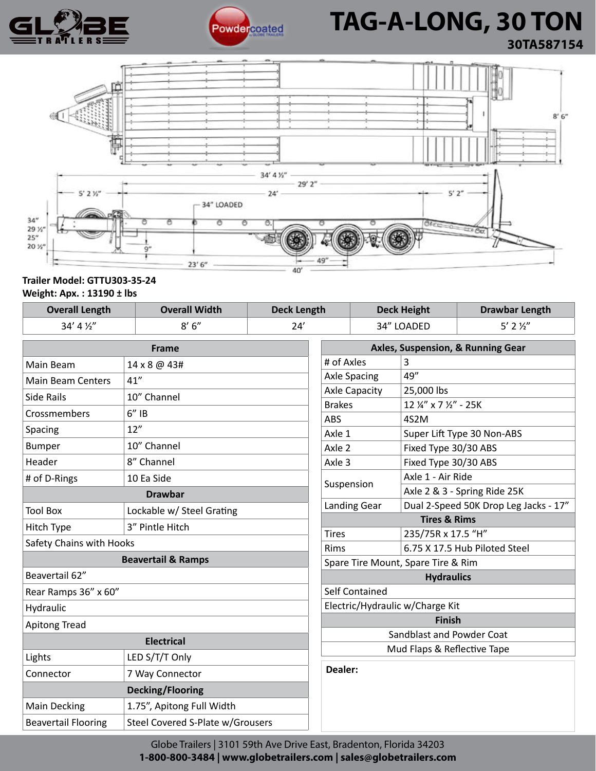



# **Powdercoated TAG-A-LONG, 30 TON 30TA587154**



### **Trailer Model: GTTU303-35-24 Weight: Apx. : 13190 ± lbs**

| <b>Overall Length</b>         | <b>Overall Width</b>             |     | <b>Deck Length</b>                           |            | <b>Deck Height</b>                    | <b>Drawbar Length</b>        |
|-------------------------------|----------------------------------|-----|----------------------------------------------|------------|---------------------------------------|------------------------------|
| 34' 4 1/2"                    | 8'6''                            | 24' |                                              | 34" LOADED |                                       | $5'$ 2 $\frac{1}{2}''$       |
| Frame                         |                                  |     | Axles, Suspension, & Running Gear            |            |                                       |                              |
| Main Beam                     | 14 x 8 @ 43#                     |     | # of Axles                                   |            | 3                                     |                              |
| <b>Main Beam Centers</b>      | 41"                              |     | <b>Axle Spacing</b>                          |            | 49"                                   |                              |
| <b>Side Rails</b>             | 10" Channel                      |     | <b>Axle Capacity</b>                         |            | 25,000 lbs                            |                              |
| Crossmembers                  | $6''$ IB                         |     | <b>Brakes</b>                                |            | 12 1/2" x 7 1/2" - 25K                |                              |
| Spacing                       | 12"                              |     | ABS                                          |            | 4S2M                                  |                              |
|                               | 10" Channel                      |     | Axle 1                                       |            | Super Lift Type 30 Non-ABS            |                              |
| <b>Bumper</b>                 |                                  |     | Axle 2                                       |            | Fixed Type 30/30 ABS                  |                              |
| Header                        | 8" Channel                       |     | Axle 3                                       |            | Fixed Type 30/30 ABS                  |                              |
| # of D-Rings                  | 10 Ea Side                       |     | Suspension                                   |            | Axle 1 - Air Ride                     |                              |
| <b>Drawbar</b>                |                                  |     |                                              |            |                                       | Axle 2 & 3 - Spring Ride 25K |
| <b>Tool Box</b>               | Lockable w/ Steel Grating        |     | <b>Landing Gear</b>                          |            | Dual 2-Speed 50K Drop Leg Jacks - 17" |                              |
| Hitch Type                    | 3" Pintle Hitch                  |     | <b>Tires &amp; Rims</b>                      |            |                                       |                              |
| Safety Chains with Hooks      |                                  |     | <b>Tires</b>                                 |            | 235/75R x 17.5 "H"                    |                              |
| <b>Beavertail &amp; Ramps</b> |                                  |     | 6.75 X 17.5 Hub Piloted Steel<br><b>Rims</b> |            |                                       |                              |
| Beavertail 62"                |                                  |     | Spare Tire Mount, Spare Tire & Rim           |            |                                       |                              |
|                               |                                  |     | <b>Hydraulics</b>                            |            |                                       |                              |
| Rear Ramps 36" x 60"          |                                  |     | <b>Self Contained</b>                        |            |                                       |                              |
| Hydraulic                     |                                  |     | Electric/Hydraulic w/Charge Kit              |            |                                       |                              |
| <b>Apitong Tread</b>          |                                  |     | <b>Finish</b>                                |            |                                       |                              |
| <b>Electrical</b>             |                                  |     | Sandblast and Powder Coat                    |            |                                       |                              |
| Lights                        | LED S/T/T Only                   |     | Mud Flaps & Reflective Tape<br>Dealer:       |            |                                       |                              |
| Connector                     | 7 Way Connector                  |     |                                              |            |                                       |                              |
| <b>Decking/Flooring</b>       |                                  |     |                                              |            |                                       |                              |
| <b>Main Decking</b>           | 1.75", Apitong Full Width        |     |                                              |            |                                       |                              |
| <b>Beavertail Flooring</b>    | Steel Covered S-Plate w/Grousers |     |                                              |            |                                       |                              |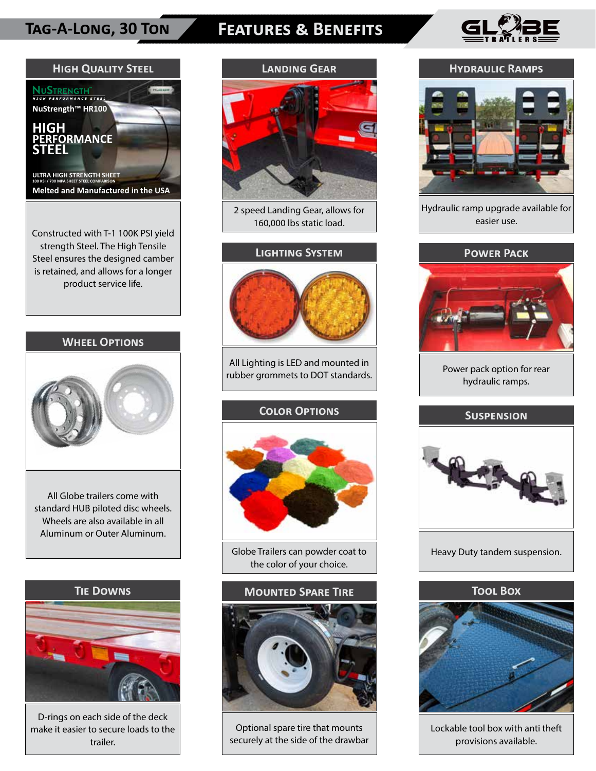# **Tag-A-Long, 30 Ton Features & Benefits**





strength Steel. The High Tensile Steel ensures the designed camber is retained, and allows for a longer product service life.

### **Wheel Options**



All Globe trailers come with standard HUB piloted disc wheels. Wheels are also available in all Aluminum or Outer Aluminum.



D-rings on each side of the deck make it easier to secure loads to the trailer.



2 speed Landing Gear, allows for 160,000 lbs static load.

### **Lighting System**



All Lighting is LED and mounted in rubber grommets to DOT standards.

### **Color Options**



Globe Trailers can powder coat to the color of your choice.



Optional spare tire that mounts securely at the side of the drawbar

### **Hydraulic Ramps**



Hydraulic ramp upgrade available for easier use.



Power pack option for rear hydraulic ramps.

### **Suspension**



Heavy Duty tandem suspension.



Lockable tool box with anti theft provisions available.